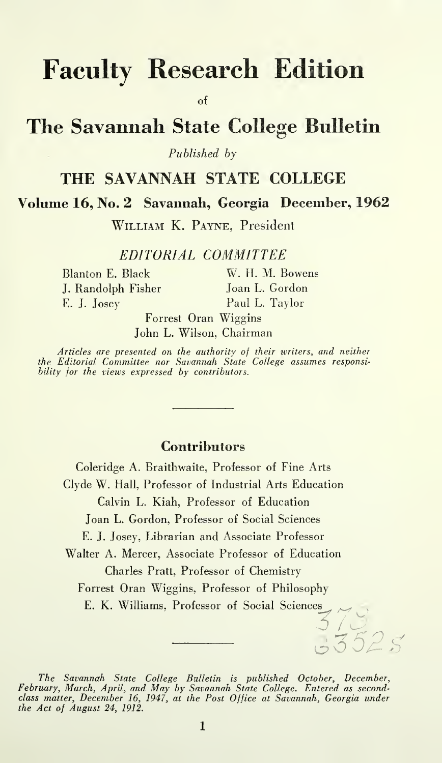# Faculty Research Edition

of

## The Savannah State College Bulletin

Published by

## THE SAVANNAH STATE COLLEGE

Volume 16, No. 2 Savannah, Georgia December, 1962

William K. Payne, President

EDITORIAL COMMITTEE

J. Randolph Fisher Joan L. Gordon E. J. Josey Paul L. Taylor

Blanton E. Black W. H. M. Bowens

GZ52g

Forrest Oran Wiggins John L. Wilson, Chairman

Articles are presented on the authority of their writers, and neither the Editorial Committee nor Savannah State College assumes responsibility for the views expressed by contributors.

### **Contributors**

Coleridge A. Braithwaile, Professor of Fine Arts Clyde W. Hall, Professor of Industrial Arts Education Calvin L, Kiah, Professor of Education Joan L. Gordon, Professor of Social Sciences E. J. Josey, librarian and Associate Professor Walter A. Mercer, Associate Professor of Education Charles Pratt, Professor of Chemistry Forrest Oran Wiggins, Professor of Philosophy E. K. Williams, Professor of Social Sciences

The Savannah State College Bulletin Is published October, December, February, March, April, and May by Savannah State College. Entered as second-class matter, December 16, 1947, at the Post Office at Savannah, Georgia under the Act of August 24, 1912.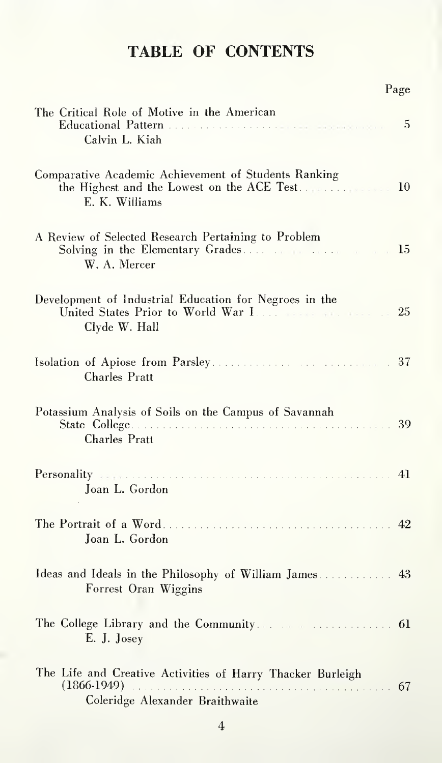## TABLE OF CONTENTS

|                                                                                                                                                                                                                                                  | Page |
|--------------------------------------------------------------------------------------------------------------------------------------------------------------------------------------------------------------------------------------------------|------|
| The Critical Role of Motive in the American<br>Calvin L. Kiah                                                                                                                                                                                    | 5    |
| Comparative Academic Achievement of Students Ranking<br>the Highest and the Lowest on the ACE Test.<br>E. K. Williams                                                                                                                            | 10   |
| A Review of Selected Research Pertaining to Problem<br>W. A. Mercer                                                                                                                                                                              |      |
| Development of Industrial Education for Negroes in the<br>Clyde W. Hall                                                                                                                                                                          | 25   |
| Charles Pratt                                                                                                                                                                                                                                    |      |
| Potassium Analysis of Soils on the Campus of Savannah<br>Charles Pratt                                                                                                                                                                           |      |
| Personality expressions in the contract of the contract of the contract of the contract of the contract of the contract of the contract of the contract of the contract of the contract of the contract of the contract of the<br>Joan L. Gordon |      |
| Joan L. Gordon                                                                                                                                                                                                                                   |      |
| Ideas and Ideals in the Philosophy of William James 43<br>Forrest Oran Wiggins                                                                                                                                                                   |      |
| The College Library and the Community.<br>E. J. Josey                                                                                                                                                                                            |      |
| The Life and Creative Activities of Harry Thacker Burleigh<br>Coleridge Alexander Braithwaite                                                                                                                                                    |      |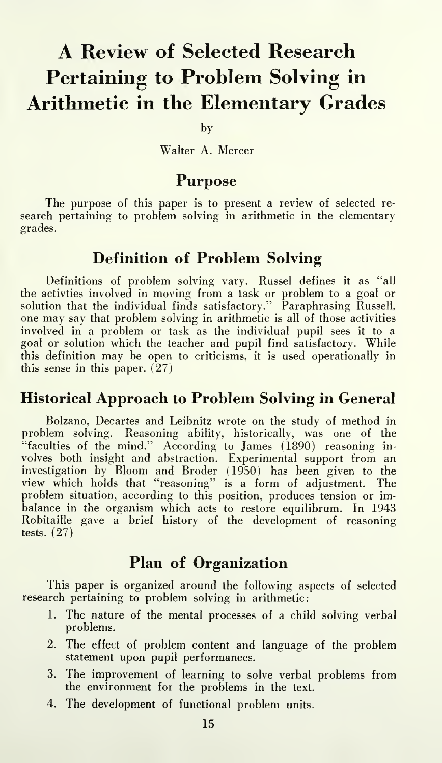## A Review of Selected Research Pertaining to Problem Solving in Arithmetic in the Elementary Grades

by

Walter A. Mercer

#### Purpose

The purpose of this paper is to present a review of selected re search pertaining to problem solving in arithmetic in the elementary grades.

## Definition of Problem Solving

Definitions of problem solving vary. Russel defines it as "all the activties involved in moving from a task or problem to a goal or solution that the individual finds satisfactory."' Paraphrasing Russell, one may say that problem solving in arithmetic is all of those activities involved in a problem or task as the individual pupil sees it to a goal or solution which the teacher and pupil find satisfactory. While this definition may be open to criticisms, it is used operationally in this sense in this paper. (27)

#### Historical Approach to Problem Solving in General

Bolzano, Decartes and Leibnitz wrote on the study of method in problem solving. Reasoning ability, historically, was one of the "faculties of the mind." According to James (1890) reasoning in volves both insight and abstraction. Experimental support from an investigation by Bloom and Broder (1950) has been given to the view which holds that "reasoning" is a form of adjustment. The problem situation, according to this position, produces tension or imbalance in the organism which acts to restore equilibrum. In 1943 Robitaille gave a brief history of the development of reasoning tests. (27)

#### Plan of Organization

This paper is organized around the following aspects of selected research pertaining to problem solving in arithmetic:

- 1. The nature of the mental processes of a child solving verbal problems.
- 2. The effect of problem content and language of the problem statement upon pupil performances.
- 3. The improvement of learning to solve verbal problems from the environment for the problems in the text.
- 4. The development of functional problem units.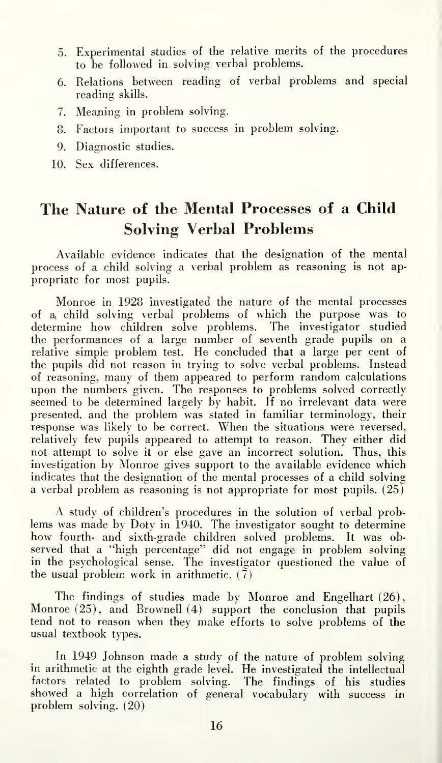- 5. Experimental studies of the relative merits of the procedures to be followed in solving verbal problems.
- 6. Relations between reading of verbal problems and special reading skills.
- 7. Meaning in problem solving.
- 8. Factors important to success in problem solving.
- 9. Diagnostic studies.
- 10. Sex differences.

## The Nature of the Mental Processes of a Child Solving Verbal Problems

Available evidence indicates that the designation of the mental process of a child solving a verbal problem as reasoning is not ap propriate for most pupils.

Monroe in 1928 investigated the nature of the mental processes of a( child solving verbal problems of which the purpose was to determine how children solve problems. The investigator studied the performances of a large number of seventh grade pupils on a relative simple problem test. He concluded that a large per cent of the pupils did not reason in trying to solve verbal problems. Instead of reasoning, many of them appeared to perform random calculations upon the numbers given. The responses to problems solved correctly seemed to be determined largely by habit. If no irrelevant data were presented, and the problem was stated in familiar terminology, their response was likely to be correct. When the situations were reversed, relatively few pupils appeared to attempt to reason. They either did not attempt to solve it or else gave an incorrect solution. Thus, this investigation by Monroe gives support to the available evidence which indicates that the designation of the mental processes of a child solving a verbal problem as reasoning is not appropriate for most pupils.  $(25)$ 

A study of children's procedures in the solution of verbal problems was made by Doty in 1940. The investigator sought to determine how fourth- and sixth-grade children solved problems. It was ob served that a "high percentage" did not engage in problem solving in the psychological sense. The investigator questioned the value of the usual problem work in arithmetic.  $(\overline{7})$ 

The findings of studies made by Monroe and Engelhart (26), Monroe  $(25)$ , and Brownell  $(4)$  support the conclusion that pupils tend not to reason when they make efforts to solve problems of the usual textbook types.

In 1949 Johnson made a study of the nature of problem solving in arithmetic at the eighth grade level. He investigated the intellectual factors related to problem solving. The findings of his studies showed a high correlation of general vocabulary with success in problem solving. (20)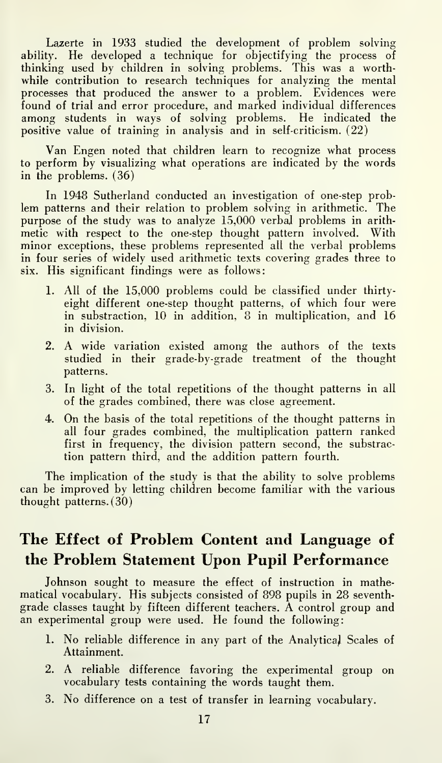Lazerte in 1933 studied the development of problem solving ability. He developed a technique for objectifying the process of thinking used by children in solving problems. This was a worthwhile contribution to research techniques for analyzing the mental processes that produced the answer to a problem. Evidences were found of trial and error procedure, and marked individual differences among students in ways of solving problems. He indicated the positive value of training in analysis and in self-criticism. (22)

Van Engen noted that children learn to recognize what process to perform by visualizing what operations are indicated by the words in the problems. (36)

In 1948 Sutherland conducted an investigation of one-step problem patterns and their relation to problem solving in arithmetic. The purpose of the study was to analyze 15,000 verbal problems in arith metic with respect to the one-step thought pattern involved. With minor exceptions, these problems represented all the verbal problems in four series of widely used arithmetic texts covering grades three to six. His significant findings were as follows:

- 1. All of the 15,000 problems could be classified under thirtyeight different one-step thought patterns, of which four were in substraction, 10 in addition, 8 in multiplication, and 16 in division.
- 2. A wide variation existed among the authors of the texts studied in their grade-by-grade treatment of the thought patterns.
- 3. In light of the total repetitions of the thought patterns in all of the grades combined, there was close agreement.
- 4. On the basis of the total repetitions of the thought patterns in all four grades combined, the multiplication pattern ranked first in frequency, the division pattern second, the substraction pattern third, and the addition pattern fourth.

The implication of the study is that the ability to solve problems can be improved by letting children become familiar with the various thought patterns. (30)

## The Effect of Problem Content and Language of the Problem Statement Upon Pupil Performance

Johnson sought to measure the effect of instruction in mathematical vocabulary. His subjects consisted of 898 pupils in 28 seventh grade classes taught by fifteen different teachers. A control group and an experimental group were used. He found the following:

- 1. No reliable difference in any part of the Analytical Scales of Attainment.
- 2. A reliable difference favoring the experimental group on vocabulary tests containing the words taught them.
- 3. No difference on a test of transfer in learning vocabulary.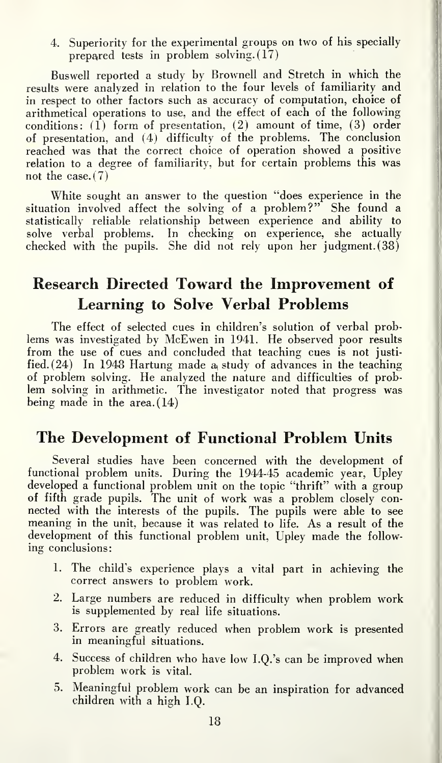4. Superiority for the experimental groups on two of his specially prepared tests in problem solving. (17)

Buswell reported a study by Brownell and Stretch in which the results were analyzed in relation to the four levels of familiarity and in respect to other factors such as accuracy of computation, choice of arithmetical operations to use, and the effect of each of the following conditions: (1) form of presentation, (2) amount of time, (3) order of presentation, and (4) difficulty of the problems. The conclusion reached was that the correct choice of operation showed a positive relation to a degree of familiarity, but for certain problems this was not the case.  $(7)$ 

White sought an answer to the question "does experience in the situation involved affect the solving of a problem?" She found a statistically reliable relationship between experience and ability to solve verbal problems. In checking on experience, she actually checked with the pupils. She did not rely upon her judgment. (38)

## Research Directed Toward the Improvement of Learning to Solve Verbal Problems

The effect of selected cues in children's solution of verbal problems was investigated by McEwen in 1941. He observed poor results from the use of cues and concluded that teaching cues is not justi fied.  $(24)$  In 1948 Hartung made a study of advances in the teaching of problem solving. He analyzed the nature and difficulties of problem solving in arithmetic. The investigator noted that progress was being made in the area. (14)

### The Development of Functional Problem Units

Several studies have been concerned with the development of functional problem units. During the 1944-45 academic year, Upley developed a functional problem unit on the topic "thrift" with a group of fifth grade pupils. The unit of work was a problem closely con nected with the interests of the pupils. The pupils were able to see meaning in the unit, because it was related to life. As a result of the development of this functional problem unit, Upley made the follow ing conclusions:

- 1. The child's experience plays a vital part in achieving the correct answers to problem work.
- 2. Large numbers are reduced in difficulty when problem work is supplemented by real life situations.
- 3. Errors are greatly reduced when problem work is presented in meaningful situations.
- 4. Success of children who have low I.Q.'s can be improved when problem work is vital.
- 5. Meaningful problem work can be an inspiration for advanced children with a high I.Q.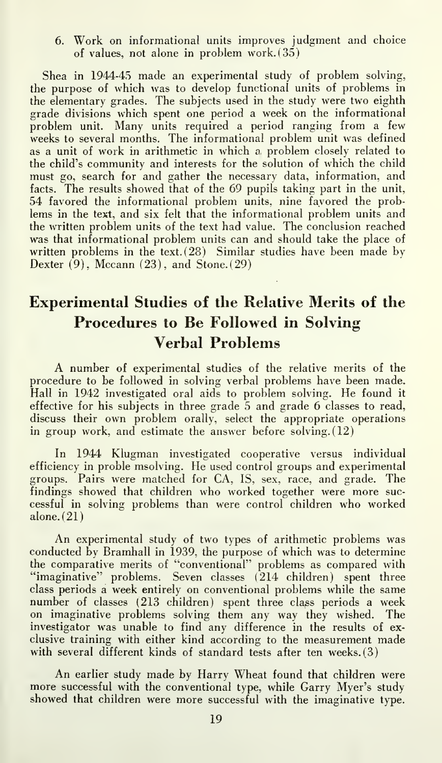6. Work on informational units improves judgment and choice of values, not alone in problem work. (35)

Shea in 1944-45 made an experimental study of problem solving, the purpose of which was to develop functional units of problems in the elementary grades. The subjects used in the study were two eighth grade divisions which spent one period a week on the informational problem unit. Many units required a period ranging from <sup>a</sup> few weeks to several months. The informational problem unit was defined as a unit of work in arithmetic in which a, problem closely related to the child's community and interests for the solution of which the child must go, search for and gather the necessary data, information, and facts. The results showed that of the 69 pupils taking part in the unit, 54 favored the informational problem units, nine favored the problems in the text, and six felt that the informational problem units and the written problem units of the text had value. The conclusion reached was that informational problem units can and should take the place of written problems in the text.  $(28)$  Similar studies have been made by Dexter  $(9)$ , Mccann  $(23)$ , and Stone.  $(29)$ 

## Experimental Studies of the Relative Merits of the Procedures to Be Followed in Solving Verbal Problems

A number of experimental studies of the relative merits of the procedure to be followed in solving verbal problems have been made. Hall in 1942 investigated oral aids to problem solving. He found it effective for his subjects in three grade 5 and grade 6 classes to read, discuss their own problem orally, select the appropriate operations in group work, and estimate the answer before solving. (12)

In 1944 Klugman investigated cooperative versus individual efficiency in proble msolving. He used control groups and experimental groups. Pairs were matched for CA, IS, sex, race, and grade. The findings showed that children who worked together were more suc cessful in solving problems than were control children who worked alone. (21)

An experimental study of two types of arithmetic problems was conducted by Bramhall in 1939, the purpose of which was to determine the comparative merits of "conventional" problems as compared with "imaginative" problems. Seven classes (214 children) spent three class periods a week entirely on conventional problems while the same number of classes (213 children) spent three class periods a week on imaginative problems solving them any way they wished. The investigator was unable to find any difference in the results of ex clusive training with either kind according to the measurement made with several different kinds of standard tests after ten weeks. (3)

An earlier study made by Harry Wheat found that children were more successful with the conventional type, while Garry Myer's study showed that children were more successful with the imaginative type.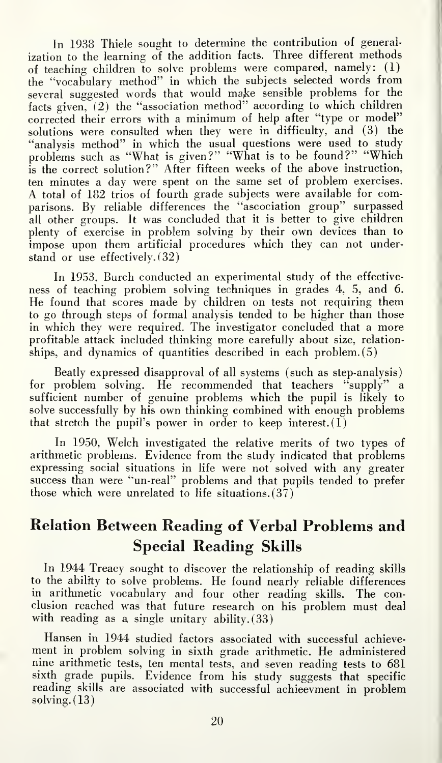In 1938 Thiele sought to determine the contribution of generalization to the learning of the addition facts. Three different methods of teaching children to solve problems were compared, namely: (1) the "vocabulary method" in which the subjects selected words from several suggested words that would make sensible problems for the facts given, (2) the "association method" according to which children corrected their errors with <sup>a</sup> minimum of help after "type or model" solutions were consulted when they were in difficulty, and (3) the "analysis method" in which the usual questions were used to study problems such as "What is given?" "What is to be found?" "Which is the correct solution?" After fifteen weeks of the above instruction, ten minutes a day were spent on the same set of problem exercises. A total of 182 trios of fourth grade subjects were available for comparisons. By reliable differences the "ascociation group" surpassed all other groups. It was concluded that it is better to give children plenty of exercise in problem solving by their own devices than to impose upon them artificial procedures which they can not understand or use effectively. (32)

In 1953, Burch conducted an experimental study of the effective ness of teaching problem solving techniques in grades 4, 5, and 6. He found that scores made by children on tests not requiring them to go through steps of formal analysis tended to be higher than those in which they were required. The investigator concluded that a more profitable attack included thinking more carefully about size, relationships, and dynamics of quantities described in each problem. (5)

Beatly expressed disapproval of all systems (such as step-analysis) for problem solving. He recommended that teachers "supply" a sufficient number of genuine problems which the pupil is likely to solve successfully by his own thinking combined with enough problems that stretch the pupil's power in order to keep interest.  $(1)$ 

In 1950. Welch investigated the relative merits of two types of arithmetic problems. Evidence from the study indicated that problems expressing social situations in life were not solved with any greater success than were "un-real" problems and that pupils tended to prefer those which were unrelated to life situations.  $(37)$ 

## Relation Between Reading of Verbal Problems and Special Reading Skills

In 1944 Treacy sought to discover the relationship of reading skills to the ability to solve problems. He found nearly reliable differences in arithmetic vocabulary and four other reading skills. The conclusion reached was that future research on his problem must deal with reading as a single unitary ability. (33)

Hansen in 1944 studied factors associated with successful achievement in problem solving in sixth grade arithmetic. He administered nine arithmetic tests, ten mental tests, and seven reading tests to 681 sixth grade pupils. Evidence from his study suggests that specific reading skills are associated with successful achieevment in problem solving. (13)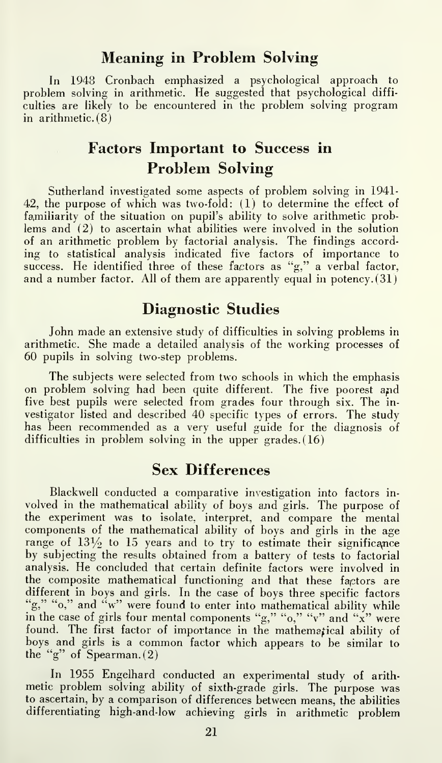#### Meaning in Problem Solving

In 1948 Cronbach emphasized a psychological approach to problem solving in arithmetic. He suggested that psychological diffi culties are likely to be encountered in the problem solving program in arithmetic. (8)

## Factors Important to Success in Problem Solving

Sutherland investigated some aspects of problem solving in 1941- 42, the purpose of which was two-fold:  $(1)$  to determine the effect of familiarity of the situation on pupil's ability to solve arithmetic problems and (2) to ascertain what abilities were involved in the solution of an arithmetic problem by factorial analysis. The findings accord ing to statistical analysis indicated five factors of importance to success. He identified three of these factors as "g," a verbal factor, and a number factor. All of them are apparently equal in potency. (31)

### Diagnostic Studies

John made an extensive study of difficulties in solving problems in arithmetic. She made a detailed analysis of the working processes of 60 pupils in solving two-step problems.

The subjects were selected from two schools in which the emphasis on problem solving had been quite different. The five poorest and five best pupils were selected from grades four through six. The investigator listed and described 40 specific types of errors. The study has been recommended as a very useful guide for the diagnosis of difficulties in problem solving in the upper grades. (16)

#### Sex Differences

Blackwell conducted a comparative investigation into factors in volved in the mathematical ability of boys and girls. The purpose of the experiment was to isolate, interpret, and compare the mental components of the mathematical ability of boys and girls in the age range of  $13\frac{1}{2}$  to  $15$  years and to try to estimate their significance by subjecting the results obtained from a battery of tests to factorial analysis. He concluded that certain definite factors were involved in the composite mathematical functioning and that these factors are different in boys and girls. In the case of boys three specific factors "g," "o," and "w" were found to enter into mathematical ability while in the case of girls four mental components "g," "o," "v" and "x" were found. The first factor of importance in the mathematical ability of boys and girls is <sup>a</sup> common factor which appears to be similar to the "g" of Spearman. (2)

In 1955 Engelhard conducted an experimental study of arith metic problem solving ability of sixth-grade girls. The purpose was to ascertain, by a comparison of differences between means, the abilities differentiating high-and-low achieving girls in arithmetic problem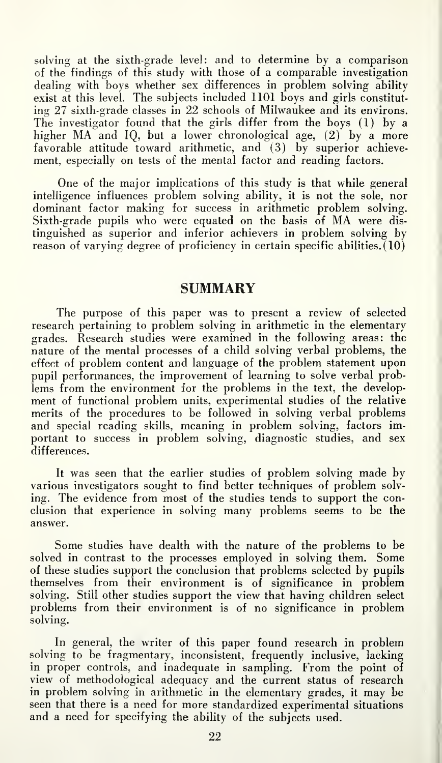solving at the sixth-grade level: and to determine by a comparison of the findings of this study with those of a comparable investigation dealing with boys whether sex differences in problem solving ability exist at this level. The subjects included 1101 boys and girls constitut ing 27 sixth-grade classes in 22 schools of Milwaukee and its environs. The investigator found that the girls differ from the boys (1) by a higher MA and IQ, but a lower chronological age, (2) by a more favorable attitude toward arithmetic, and  $(3)$  by superior achievement, especially on tests of the mental factor and reading factors.

One of the major implications of this study is that while general intelligence influences problem solving ability, it is not the sole, nor dominant factor making for success in arithmetic problem solving. Sixth-grade pupils who were equated on the basis of MA were dis tinguished as superior and inferior achievers in problem solving by reason of varying degree of proficiency in certain specific abilities.  $(10)$ 

#### **SUMMARY**

The purpose of this paper was to present a review of selected research pertaining to problem solving in arithmetic in the elementary grades. Research studies were examined in the following areas: the nature of the mental processes of a child solving verbal problems, the effect of problem content and language of the problem statement upon pupil performances, the improvement of learning to solve verbal problems from the environment for the problems in the text, the development of functional problem units, experimental studies of the relative merits of the procedures to be followed in solving verbal problems and special reading skills, meaning in problem solving, factors important to success in problem solving, diagnostic studies, and sex differences.

It was seen that the earlier studies of problem solving made by various investigators sought to find better techniques of problem solv ing. The evidence from most of the studies tends to support the conclusion that experience in solving many problems seems to be the answer.

Some studies have dealth with the nature of the problems to be solved in contrast to the processes employed in solving them. Some of these studies support the conclusion that problems selected by pupils themselves from their environment is of significance in problem solving. Still other studies support the view that having children select problems from their environment is of no significance in problem solving.

In general, the writer of this paper found research in problem solving to be fragmentary, inconsistent, frequently inclusive, lacking in proper controls, and inadequate in sampling. From the point of view of methodological adequacy and the current status of research in problem solving in arithmetic in the elementary grades, it may be seen that there is a need for more standardized experimental situations and a need for specifying the ability of the subjects used.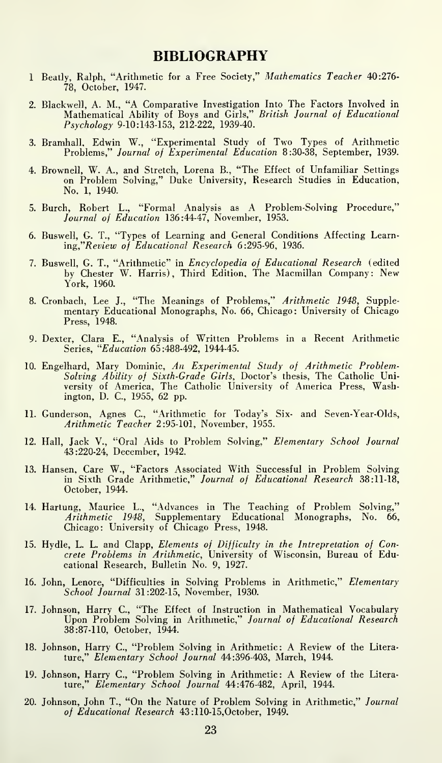#### BIBLIOGRAPHY

- <sup>1</sup> Beatly, Ralph, "Arithmetic for a Free Society," Mathematics Teacher 40:276- 78, October, 1947.
- 2. Blackwell, A. M., "A Comparative Investigation Into The Factors Involved in Mathematical Ability of Boys and Girls," British Journal of Educational Psychology 9-10:143-153, 212-222, 1939-40.
- 3. Bramhall, Edwin W., "Experimental Study of Two Types of Arithmetic Problems," Journal of Experimental Education 8:30-38, September, 1939.
- 4. Brownell, W. A., and Stretch, Lorena B., "The Effect of Unfamiliar Settings on Problem Solving," Duke University, Research Studies in Education, No. 1, 1940.
- 5. Burch, Robert L., "Formal Analysis as A Problem-Solving Procedure," Journal of Education 136:44-47, November, 1953.
- 6. Buswell, G. T., "Types of Learning and General Conditions Affecting Learn ing"Review of Educational Research 6:295-96, 1936.
- 7. Buswell, G. T., "Arithmetic" in Encyclopedia of Educational Research (edited by Chester W. Harris), Third Edition, The Macmillan Company: New York, 1960.
- 8. Cronbach, Lee J., "The Meanings of Problems," Arithmetic 1948, Supplementary Educational Monographs, No. 66, Chicago: University of Chicago Press, 1948.
- 9. Dexter, Clara E., "Analysis of Written Problems in a Recent Arithmetic Series, "Education 65:488-492, 1944-45.
- 10. Engelhard, Mary Dominic, An Experimental Study of Arithmetic Problem-S*olving Ability of Sixth-Grade Girls*, Doctor's thesis, The Catholic Uni-<br>versity of America, The Catholic University of America Press, Washington, D. C, 1955, 62 pp.
- 11. Gunderson, Agnes C, "Arithmetic for Today's Six- and Seven-Year-Olds, Arithmetic Teacher 2:95-101, November, 1955.
- 12. Hall, Jack V., "Oral Aids to Problem Solving," Elementary School Journal 43:220-24, December, 1942.
- 13. Hansen, Care W., "Factors Associated With Successful in Problem Solving in Sixth Grade Arithmetic," Journal of Educational Research 38:11-18, October, 1944.
- 14. Hartung, Maurice L., "Advances in The Teaching of Problem Solving," Arithmetic 1948, Supplementary Educational Monographs, No. 66, Chicago: University of Chicago Press, 1948.
- 15. Hydle, L. L. and Clapp, Elements of Difficulty in the Intrepretation of Con-crete Problems in Arithmetic, University of Wisconsin, Bureau of Educational Research, Bulletin No. 9, 1927.
- 16. John, Lenore, "Difficulties in Solving Problems in Arithmetic," Elementary School Journal 31:202-15, November, 1930.
- 17. Johnson, Harry C, "The Effect of Instruction in Mathematical Vocabulary Upon Problem Solving in Arithmetic," Journal of Educational Research 38:87-110, October, 1944.
- 18. Johnson, Harry C, "Problem Solving in Arithmetic: A Review of the Litera ture," Elementary School Journal 44:396-403, March, 1944.
- 19. Johnson, Harry C, "Problem Solving in Arithmetic: A Review of the Literature," Elementary School Journal 44:476-482, April, 1944.
- 20. Johnson, John T., "On the Nature of Problem Solving in Arithmetic," Journal of Educational Research 43:110-15,October, 1949.